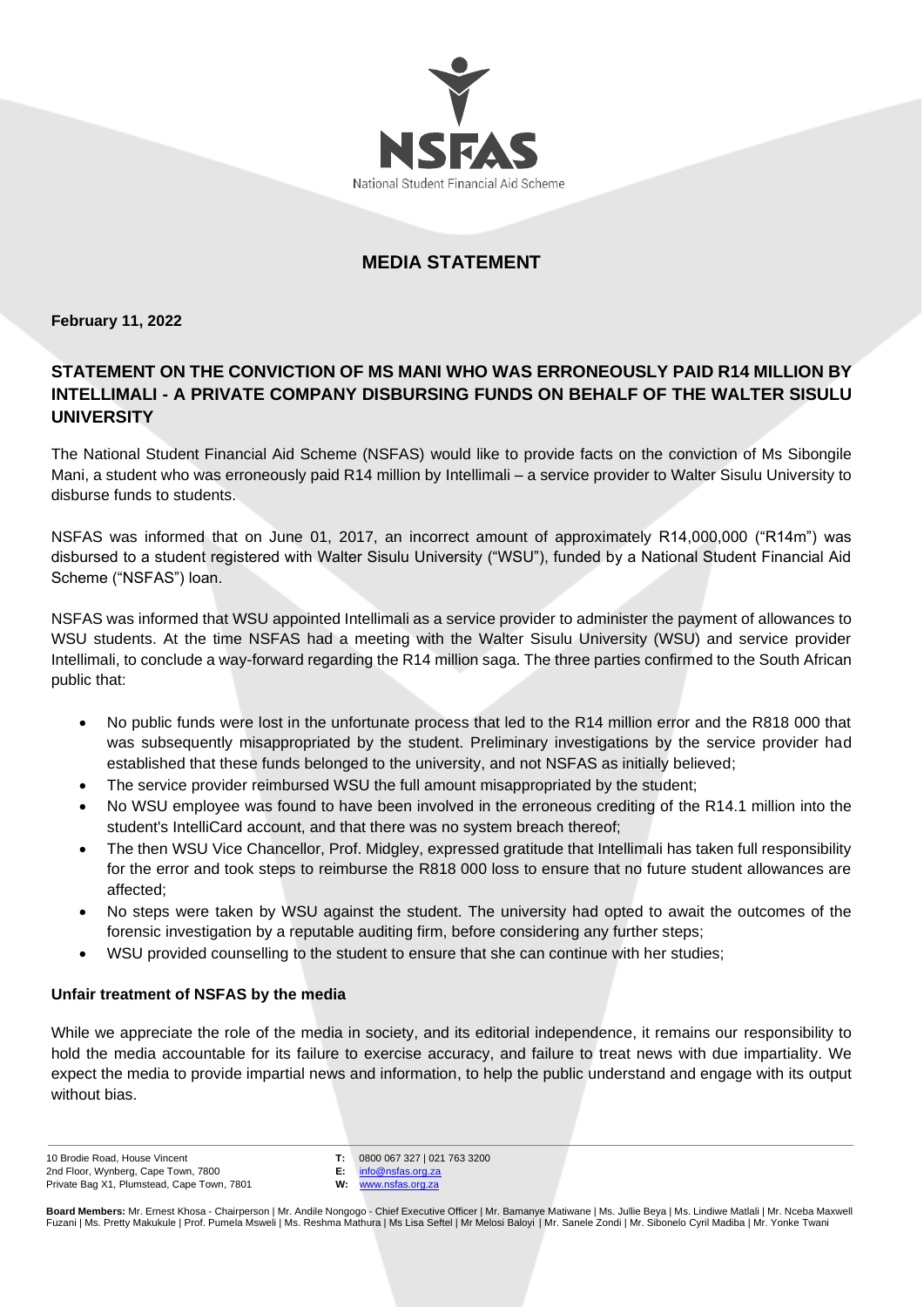

## **MEDIA STATEMENT**

**February 11, 2022**

# **STATEMENT ON THE CONVICTION OF MS MANI WHO WAS ERRONEOUSLY PAID R14 MILLION BY INTELLIMALI - A PRIVATE COMPANY DISBURSING FUNDS ON BEHALF OF THE WALTER SISULU UNIVERSITY**

The National Student Financial Aid Scheme (NSFAS) would like to provide facts on the conviction of Ms Sibongile Mani, a student who was erroneously paid R14 million by Intellimali – a service provider to Walter Sisulu University to disburse funds to students.

NSFAS was informed that on June 01, 2017, an incorrect amount of approximately R14,000,000 ("R14m") was disbursed to a student registered with Walter Sisulu University ("WSU"), funded by a National Student Financial Aid Scheme ("NSFAS") loan.

NSFAS was informed that WSU appointed Intellimali as a service provider to administer the payment of allowances to WSU students. At the time NSFAS had a meeting with the Walter Sisulu University (WSU) and service provider Intellimali, to conclude a way-forward regarding the R14 million saga. The three parties confirmed to the South African public that:

- No public funds were lost in the unfortunate process that led to the R14 million error and the R818 000 that was subsequently misappropriated by the student. Preliminary investigations by the service provider had established that these funds belonged to the university, and not NSFAS as initially believed;
- The service provider reimbursed WSU the full amount misappropriated by the student;
- No WSU employee was found to have been involved in the erroneous crediting of the R14.1 million into the student's IntelliCard account, and that there was no system breach thereof;
- The then WSU Vice Chancellor, Prof. Midgley, expressed gratitude that Intellimali has taken full responsibility for the error and took steps to reimburse the R818 000 loss to ensure that no future student allowances are affected;
- No steps were taken by WSU against the student. The university had opted to await the outcomes of the forensic investigation by a reputable auditing firm, before considering any further steps;
- WSU provided counselling to the student to ensure that she can continue with her studies;

## **Unfair treatment of NSFAS by the media**

While we appreciate the role of the media in society, and its editorial independence, it remains our responsibility to hold the media accountable for its failure to exercise accuracy, and failure to treat news with due impartiality. We expect the media to provide impartial news and information, to help the public understand and engage with its output without bias.

10 Brodie Road, House Vincent 2nd Floor, Wynberg, Cape Town, 7800 Private Bag X1, Plumstead, Cape Town, 7801 **T:** 0800 067 327 | 021 763 3200

**E:** [info@nsfas.org.za](mailto:info@nsfas.org.za) **W:** [www.nsfas.org.za](http://www.nsfas.org.za/)

**Board Members:** Mr. Ernest Khosa - Chairperson | Mr. Andile Nongogo - Chief Executive Officer | Mr. Bamanye Matiwane | Ms. Jullie Beya | Ms. Lindiwe Matlali | Mr. Nceba Maxwell Fuzani | Ms. Pretty Makukule | Prof. Pumela Msweli | Ms. Reshma Mathura | Ms Lisa Seftel | Mr Melosi Baloyi | Mr. Sanele Zondi | Mr. Sibonelo Cyril Madiba | Mr. Yonke Twani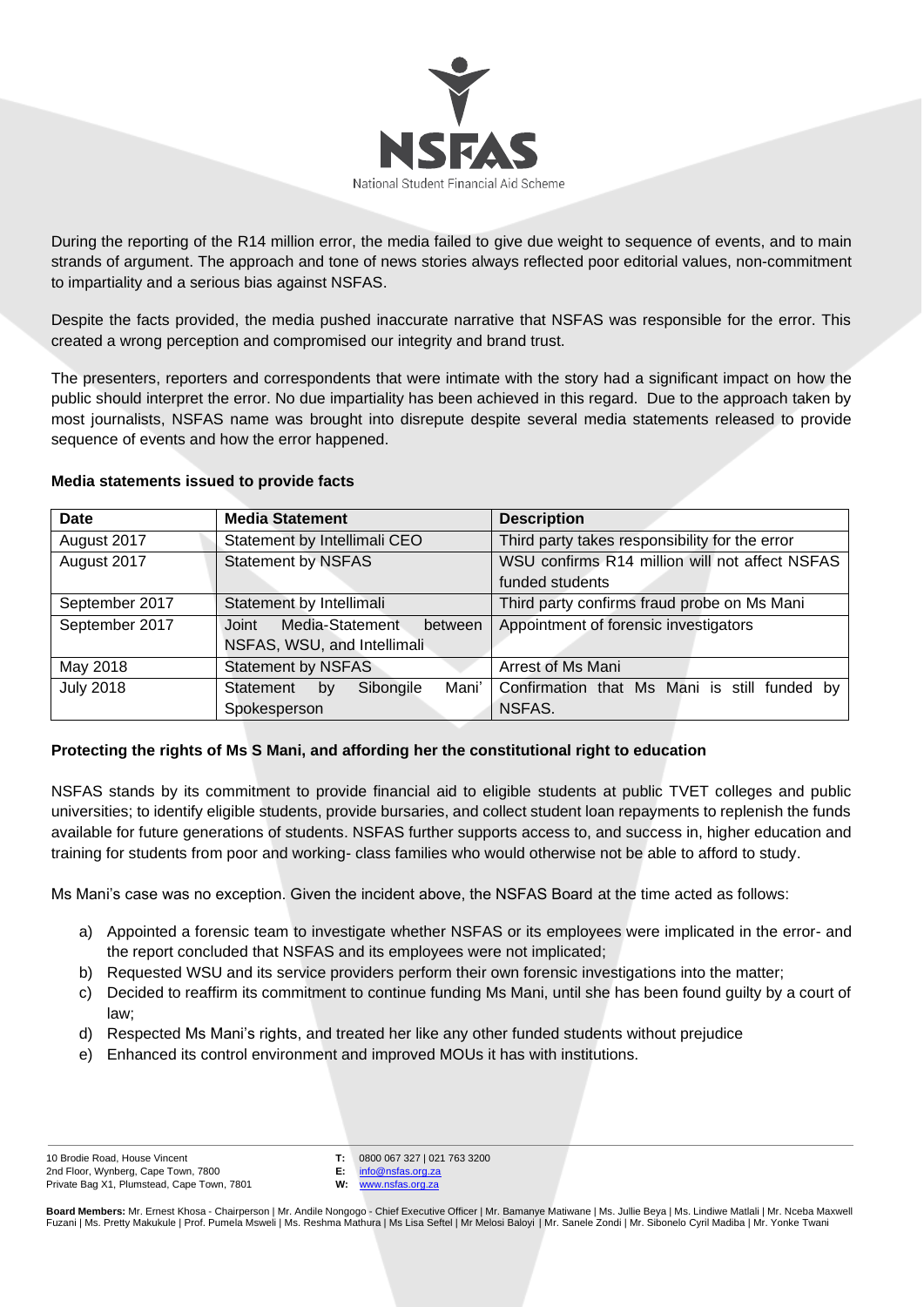

During the reporting of the R14 million error, the media failed to give due weight to sequence of events, and to main strands of argument. The approach and tone of news stories always reflected poor editorial values, non-commitment to impartiality and a serious bias against NSFAS.

Despite the facts provided, the media pushed inaccurate narrative that NSFAS was responsible for the error. This created a wrong perception and compromised our integrity and brand trust.

The presenters, reporters and correspondents that were intimate with the story had a significant impact on how the public should interpret the error. No due impartiality has been achieved in this regard. Due to the approach taken by most journalists, NSFAS name was brought into disrepute despite several media statements released to provide sequence of events and how the error happened.

#### **Media statements issued to provide facts**

| <b>Date</b>      | <b>Media Statement</b>                | <b>Description</b>                             |
|------------------|---------------------------------------|------------------------------------------------|
| August 2017      | Statement by Intellimali CEO          | Third party takes responsibility for the error |
| August 2017      | <b>Statement by NSFAS</b>             | WSU confirms R14 million will not affect NSFAS |
|                  |                                       | funded students                                |
| September 2017   | Statement by Intellimali              | Third party confirms fraud probe on Ms Mani    |
| September 2017   | Media-Statement<br>between<br>Joint   | Appointment of forensic investigators          |
|                  | NSFAS, WSU, and Intellimali           |                                                |
| May 2018         | <b>Statement by NSFAS</b>             | Arrest of Ms Mani                              |
| <b>July 2018</b> | Mani'<br>Statement<br>Sibongile<br>bv | Confirmation that Ms Mani is still funded by   |
|                  | Spokesperson                          | NSFAS.                                         |

## **Protecting the rights of Ms S Mani, and affording her the constitutional right to education**

NSFAS stands by its commitment to provide financial aid to eligible students at public TVET colleges and public universities; to identify eligible students, provide bursaries, and collect student loan repayments to replenish the funds available for future generations of students. NSFAS further supports access to, and success in, higher education and training for students from poor and working- class families who would otherwise not be able to afford to study.

Ms Mani's case was no exception. Given the incident above, the NSFAS Board at the time acted as follows:

- a) Appointed a forensic team to investigate whether NSFAS or its employees were implicated in the error- and the report concluded that NSFAS and its employees were not implicated;
- b) Requested WSU and its service providers perform their own forensic investigations into the matter;
- c) Decided to reaffirm its commitment to continue funding Ms Mani, until she has been found guilty by a court of law;
- d) Respected Ms Mani's rights, and treated her like any other funded students without prejudice
- e) Enhanced its control environment and improved MOUs it has with institutions.

**T:** 0800 067 327 | 021 763 3200

**E:** [info@nsfas.org.za](mailto:info@nsfas.org.za) **W:** [www.nsfas.org.za](http://www.nsfas.org.za/)

**Board Members:** Mr. Ernest Khosa - Chairperson | Mr. Andile Nongogo - Chief Executive Officer | Mr. Bamanye Matiwane | Ms. Jullie Beya | Ms. Lindiwe Matlali | Mr. Nceba Maxwell Fuzani | Ms. Pretty Makukule | Prof. Pumela Msweli | Ms. Reshma Mathura | Ms Lisa Seftel | Mr Melosi Baloyi | Mr. Sanele Zondi | Mr. Sibonelo Cyril Madiba | Mr. Yonke Twani